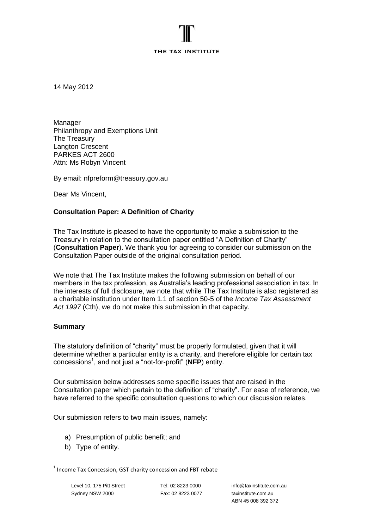#### THE TAX INSTITUTE

14 May 2012

Manager Philanthropy and Exemptions Unit The Treasury Langton Crescent PARKES ACT 2600 Attn: Ms Robyn Vincent

By email: nfpreform@treasury.gov.au

Dear Ms Vincent,

### **Consultation Paper: A Definition of Charity**

The Tax Institute is pleased to have the opportunity to make a submission to the Treasury in relation to the consultation paper entitled "A Definition of Charity" (**Consultation Paper**). We thank you for agreeing to consider our submission on the Consultation Paper outside of the original consultation period.

We note that The Tax Institute makes the following submission on behalf of our members in the tax profession, as Australia's leading professional association in tax. In the interests of full disclosure, we note that while The Tax Institute is also registered as a charitable institution under Item 1.1 of section 50-5 of the *Income Tax Assessment Act 1997* (Cth), we do not make this submission in that capacity.

#### **Summary**

The statutory definition of "charity" must be properly formulated, given that it will determine whether a particular entity is a charity, and therefore eligible for certain tax concessions<sup>1</sup>, and not just a "not-for-profit" (NFP) entity.

Our submission below addresses some specific issues that are raised in the Consultation paper which pertain to the definition of "charity". For ease of reference, we have referred to the specific consultation questions to which our discussion relates.

Our submission refers to two main issues, namely:

- a) Presumption of public benefit; and
- b) Type of entity.

 1 Income Tax Concession, GST charity concession and FBT rebate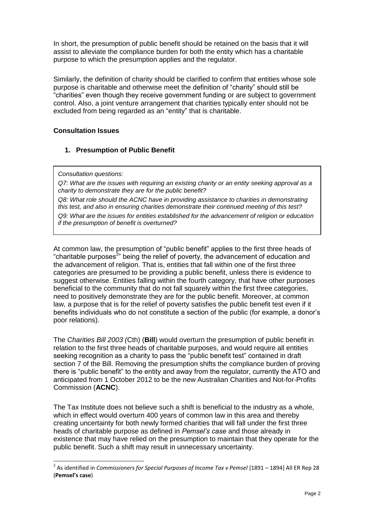In short, the presumption of public benefit should be retained on the basis that it will assist to alleviate the compliance burden for both the entity which has a charitable purpose to which the presumption applies and the regulator.

Similarly, the definition of charity should be clarified to confirm that entities whose sole purpose is charitable and otherwise meet the definition of "charity" should still be "charities" even though they receive government funding or are subject to government control. Also, a joint venture arrangement that charities typically enter should not be excluded from being regarded as an "entity" that is charitable.

## **Consultation Issues**

## **1. Presumption of Public Benefit**

*Consultation questions:*

1

*Q7: What are the issues with requiring an existing charity or an entity seeking approval as a charity to demonstrate they are for the public benefit?* 

*Q8: What role should the ACNC have in providing assistance to charities in demonstrating this test, and also in ensuring charities demonstrate their continued meeting of this test? Q9: What are the issues for entities established for the advancement of religion or education if the presumption of benefit is overturned?*

At common law, the presumption of "public benefit" applies to the first three heads of "charitable purposes<sup>2</sup>" being the relief of poverty, the advancement of education and the advancement of religion. That is, entities that fall within one of the first three categories are presumed to be providing a public benefit, unless there is evidence to suggest otherwise. Entities falling within the fourth category, that have other purposes beneficial to the community that do not fall squarely within the first three categories, need to positively demonstrate they are for the public benefit. Moreover, at common law, a purpose that is for the relief of poverty satisfies the public benefit test even if it benefits individuals who do not constitute a section of the public (for example, a donor's poor relations).

The *Charities Bill 2003 (*Cth) (**Bill**) would overturn the presumption of public benefit in relation to the first three heads of charitable purposes, and would require all entities seeking recognition as a charity to pass the "public benefit test" contained in draft section 7 of the Bill. Removing the presumption shifts the compliance burden of proving there is "public benefit" to the entity and away from the regulator, currently the ATO and anticipated from 1 October 2012 to be the new Australian Charities and Not-for-Profits Commission (**ACNC**).

The Tax Institute does not believe such a shift is beneficial to the industry as a whole, which in effect would overturn 400 years of common law in this area and thereby creating uncertainty for both newly formed charities that will fall under the first three heads of charitable purpose as defined in *Pemsel"s case* and those already in existence that may have relied on the presumption to maintain that they operate for the public benefit. Such a shift may result in unnecessary uncertainty.

<sup>&</sup>lt;sup>2</sup> As identified in *Commissioners for Special Purposes of Income Tax v Pemsel* [1891 – 1894] All ER Rep 28 (**Pemsel's case**)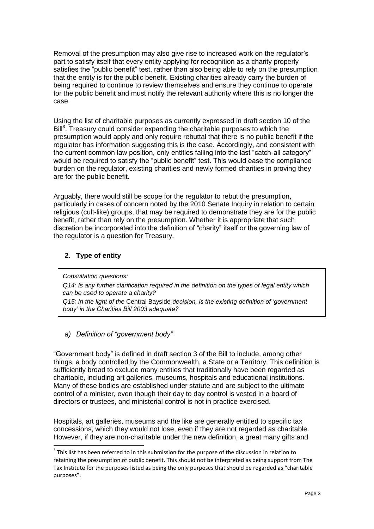Removal of the presumption may also give rise to increased work on the regulator's part to satisfy itself that every entity applying for recognition as a charity properly satisfies the "public benefit" test, rather than also being able to rely on the presumption that the entity is for the public benefit. Existing charities already carry the burden of being required to continue to review themselves and ensure they continue to operate for the public benefit and must notify the relevant authority where this is no longer the case.

Using the list of charitable purposes as currently expressed in draft section 10 of the Bill<sup>3</sup>, Treasury could consider expanding the charitable purposes to which the presumption would apply and only require rebuttal that there is no public benefit if the regulator has information suggesting this is the case. Accordingly, and consistent with the current common law position, only entities falling into the last "catch-all category" would be required to satisfy the "public benefit" test. This would ease the compliance burden on the regulator, existing charities and newly formed charities in proving they are for the public benefit.

Arguably, there would still be scope for the regulator to rebut the presumption, particularly in cases of concern noted by the 2010 Senate Inquiry in relation to certain religious (cult-like) groups, that may be required to demonstrate they are for the public benefit, rather than rely on the presumption. Whether it is appropriate that such discretion be incorporated into the definition of "charity" itself or the governing law of the regulator is a question for Treasury.

# **2. Type of entity**

*Consultation questions:*

1

*Q14: Is any further clarification required in the definition on the types of legal entity which can be used to operate a charity?*

*Q15: In the light of the* Central Bayside *decision, is the existing definition of "government body" in the Charities Bill 2003 adequate?*

*a) Definition of "government body"*

"Government body" is defined in draft section 3 of the Bill to include, among other things, a body controlled by the Commonwealth, a State or a Territory. This definition is sufficiently broad to exclude many entities that traditionally have been regarded as charitable, including art galleries, museums, hospitals and educational institutions. Many of these bodies are established under statute and are subject to the ultimate control of a minister, even though their day to day control is vested in a board of directors or trustees, and ministerial control is not in practice exercised.

Hospitals, art galleries, museums and the like are generally entitled to specific tax concessions, which they would not lose, even if they are not regarded as charitable. However, if they are non-charitable under the new definition, a great many gifts and

 $3$  This list has been referred to in this submission for the purpose of the discussion in relation to retaining the presumption of public benefit. This should not be interpreted as being support from The Tax Institute for the purposes listed as being the only purposes that should be regarded as "charitable purposes".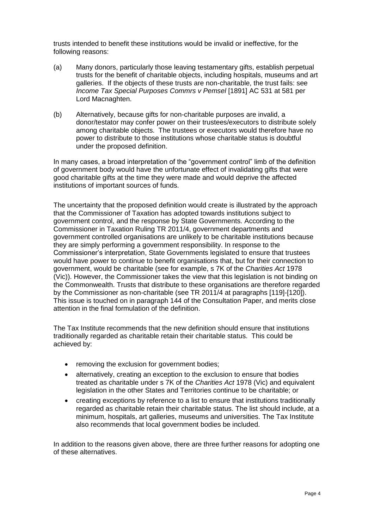trusts intended to benefit these institutions would be invalid or ineffective, for the following reasons:

- (a) Many donors, particularly those leaving testamentary gifts, establish perpetual trusts for the benefit of charitable objects, including hospitals, museums and art galleries. If the objects of these trusts are non-charitable, the trust fails: see *Income Tax Special Purposes Commrs v Pemsel* [1891] AC 531 at 581 per Lord Macnaghten.
- (b) Alternatively, because gifts for non-charitable purposes are invalid, a donor/testator may confer power on their trustees/executors to distribute solely among charitable objects. The trustees or executors would therefore have no power to distribute to those institutions whose charitable status is doubtful under the proposed definition.

In many cases, a broad interpretation of the "government control" limb of the definition of government body would have the unfortunate effect of invalidating gifts that were good charitable gifts at the time they were made and would deprive the affected institutions of important sources of funds.

The uncertainty that the proposed definition would create is illustrated by the approach that the Commissioner of Taxation has adopted towards institutions subject to government control, and the response by State Governments. According to the Commissioner in Taxation Ruling TR 2011/4, government departments and government controlled organisations are unlikely to be charitable institutions because they are simply performing a government responsibility. In response to the Commissioner's interpretation, State Governments legislated to ensure that trustees would have power to continue to benefit organisations that, but for their connection to government, would be charitable (see for example, s 7K of the *Charities Act* 1978 (Vic)). However, the Commissioner takes the view that this legislation is not binding on the Commonwealth. Trusts that distribute to these organisations are therefore regarded by the Commissioner as non-charitable (see TR 2011/4 at paragraphs [119]-[120]). This issue is touched on in paragraph 144 of the Consultation Paper, and merits close attention in the final formulation of the definition.

The Tax Institute recommends that the new definition should ensure that institutions traditionally regarded as charitable retain their charitable status. This could be achieved by:

- removing the exclusion for government bodies:
- alternatively, creating an exception to the exclusion to ensure that bodies treated as charitable under s 7K of the *Charities Act* 1978 (Vic) and equivalent legislation in the other States and Territories continue to be charitable; or
- creating exceptions by reference to a list to ensure that institutions traditionally regarded as charitable retain their charitable status. The list should include, at a minimum, hospitals, art galleries, museums and universities. The Tax Institute also recommends that local government bodies be included.

In addition to the reasons given above, there are three further reasons for adopting one of these alternatives.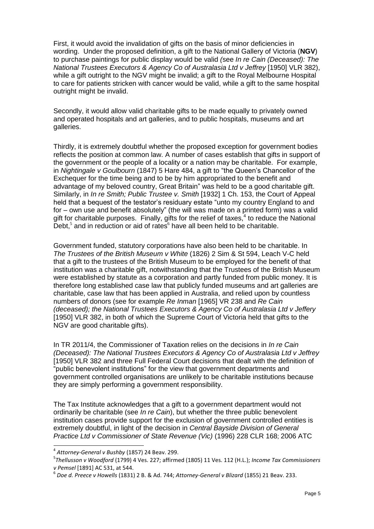First, it would avoid the invalidation of gifts on the basis of minor deficiencies in wording. Under the proposed definition, a gift to the National Gallery of Victoria (**NGV**) to purchase paintings for public display would be valid *(*see *In re Cain (Deceased): The National Trustees Executors & Agency Co of Australasia Ltd v Jeffrey* [1950] VLR 382), while a gift outright to the NGV might be invalid; a gift to the Royal Melbourne Hospital to care for patients stricken with cancer would be valid, while a gift to the same hospital outright might be invalid.

Secondly, it would allow valid charitable gifts to be made equally to privately owned and operated hospitals and art galleries, and to public hospitals, museums and art galleries.

Thirdly, it is extremely doubtful whether the proposed exception for government bodies reflects the position at common law. A number of cases establish that gifts in support of the government or the people of a locality or a nation may be charitable. For example, in *Nightingale v Goulbourn* (1847) 5 Hare 484, a gift to "the Queen's Chancellor of the Exchequer for the time being and to be by him appropriated to the benefit and advantage of my beloved country, Great Britain" was held to be a good charitable gift. Similarly, in *In re Smith; Public Trustee v. Smith* [1932] 1 Ch. 153, the Court of Appeal held that a bequest of the testator's residuary estate "unto my country England to and for – own use and benefit absolutely" (the will was made on a printed form) was a valid gift for charitable purposes. Finally, gifts for the relief of taxes, $4$  to reduce the National Debt, $5$  and in reduction or aid of rates $6$  have all been held to be charitable.

Government funded, statutory corporations have also been held to be charitable. In *The Trustees of the British Museum v White* (1826) 2 Sim & St 594, Leach V-C held that a gift to the trustees of the British Museum to be employed for the benefit of that institution was a charitable gift, notwithstanding that the Trustees of the British Museum were established by statute as a corporation and partly funded from public money. It is therefore long established case law that publicly funded museums and art galleries are charitable, case law that has been applied in Australia, and relied upon by countless numbers of donors (see for example *Re Inman* [1965] VR 238 and *Re Cain (deceased); the National Trustees Executors & Agency Co of Australasia Ltd v Jeffery* [1950] VLR 382, in both of which the Supreme Court of Victoria held that gifts to the NGV are good charitable gifts).

In TR 2011/4, the Commissioner of Taxation relies on the decisions in *In re Cain (Deceased): The National Trustees Executors & Agency Co of Australasia Ltd v Jeffrey* [1950] VLR 382 and three Full Federal Court decisions that dealt with the definition of "public benevolent institutions" for the view that government departments and government controlled organisations are unlikely to be charitable institutions because they are simply performing a government responsibility.

The Tax Institute acknowledges that a gift to a government department would not ordinarily be charitable (see *In re Cain*), but whether the three public benevolent institution cases provide support for the exclusion of government controlled entities is extremely doubtful, in light of the decision in *Central Bayside Division of General Practice Ltd v Commissioner of State Revenue (Vic)* (1996) 228 CLR 168; 2006 ATC

1

<sup>4</sup> *Attorney-General v Bushby* (1857) 24 Beav. 299.

<sup>5</sup> *Thellusson v Woodford* (1799) 4 Ves. 227; affirmed (1805) 11 Ves. 112 (H.L.); *Income Tax Commissioners v Pemsel* [1891] AC 531, at 544.

<sup>6</sup> *Doe d. Preece v Howells* (1831) 2 B. & Ad. 744; *Attorney-General v Blizard* (1855) 21 Beav. 233.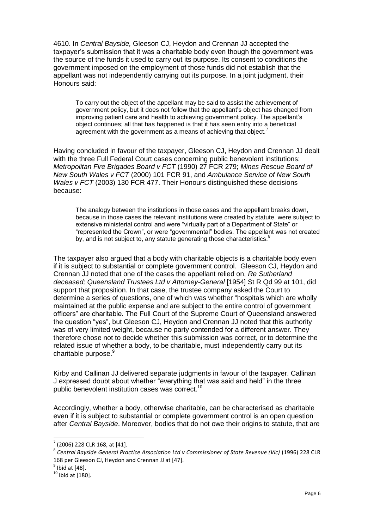4610. In *Central Bayside,* Gleeson CJ, Heydon and Crennan JJ accepted the taxpayer's submission that it was a charitable body even though the government was the source of the funds it used to carry out its purpose. Its consent to conditions the government imposed on the employment of those funds did not establish that the appellant was not independently carrying out its purpose. In a joint judgment, their Honours said:

To carry out the object of the appellant may be said to assist the achievement of government policy, but it does not follow that the appellant's object has changed from improving patient care and health to achieving government policy. The appellant's object continues; all that has happened is that it has seen entry into a beneficial agreement with the government as a means of achieving that object.

Having concluded in favour of the taxpayer, Gleeson CJ, Heydon and Crennan JJ dealt with the three Full Federal Court cases concerning public benevolent institutions: *Metropolitan Fire Brigades Board v FCT* (1990) 27 FCR 279; *Mines Rescue Board of New South Wales v FCT* (2000) 101 FCR 91, and *Ambulance Service of New South Wales v FCT* (2003) 130 FCR 477. Their Honours distinguished these decisions because:

The analogy between the institutions in those cases and the appellant breaks down, because in those cases the relevant institutions were created by statute, were subject to extensive ministerial control and were "virtually part of a Department of State" or "represented the Crown", or were "governmental" bodies. The appellant was not created by, and is not subject to, any statute generating those characteristics.<sup>8</sup>

The taxpayer also argued that a body with charitable objects is a charitable body even if it is subject to substantial or complete government control. Gleeson CJ, Heydon and Crennan JJ noted that one of the cases the appellant relied on, *Re Sutherland deceased; Queensland Trustees Ltd v Attorney-General* [1954] St R Qd 99 at 101, did support that proposition. In that case, the trustee company asked the Court to determine a series of questions, one of which was whether "hospitals which are wholly maintained at the public expense and are subject to the entire control of government officers" are charitable. The Full Court of the Supreme Court of Queensland answered the question "yes", but Gleeson CJ, Heydon and Crennan JJ noted that this authority was of very limited weight, because no party contended for a different answer. They therefore chose not to decide whether this submission was correct, or to determine the related issue of whether a body, to be charitable, must independently carry out its charitable purpose.<sup>9</sup>

Kirby and Callinan JJ delivered separate judgments in favour of the taxpayer. Callinan J expressed doubt about whether "everything that was said and held" in the three public benevolent institution cases was correct.<sup>10</sup>

Accordingly, whether a body, otherwise charitable, can be characterised as charitable even if it is subject to substantial or complete government control is an open question after *Central Bayside*. Moreover, bodies that do not owe their origins to statute, that are

 7 (2006) 228 CLR 168, at [41].

<sup>8</sup> *Central Bayside General Practice Association Ltd v Commissioner of State Revenue (Vic)* (1996) 228 CLR 168 per Gleeson CJ, Heydon and Crennan JJ at [47].

 $<sup>9</sup>$  Ibid at [48].</sup>

 $10$  Ibid at [180].